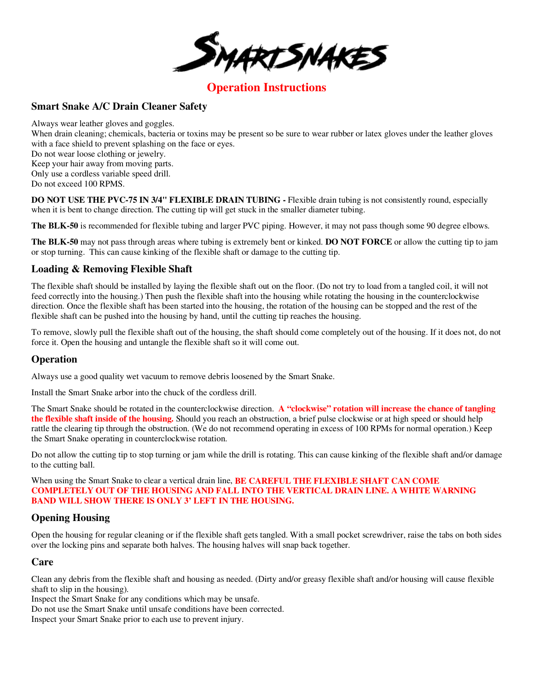

# **Operation Instructions**

## **Smart Snake A/C Drain Cleaner Safety**

Always wear leather gloves and goggles. When drain cleaning; chemicals, bacteria or toxins may be present so be sure to wear rubber or latex gloves under the leather gloves with a face shield to prevent splashing on the face or eyes. Do not wear loose clothing or jewelry. Keep your hair away from moving parts. Only use a cordless variable speed drill. Do not exceed 100 RPMS.

**DO NOT USE THE PVC-75 IN 3/4" FLEXIBLE DRAIN TUBING - Flexible drain tubing is not consistently round, especially** when it is bent to change direction. The cutting tip will get stuck in the smaller diameter tubing.

**The BLK-50** is recommended for flexible tubing and larger PVC piping. However, it may not pass though some 90 degree elbows.

**The BLK-50** may not pass through areas where tubing is extremely bent or kinked. **DO NOT FORCE** or allow the cutting tip to jam or stop turning.This can cause kinking of the flexible shaft or damage to the cutting tip.

## **Loading & Removing Flexible Shaft**

The flexible shaft should be installed by laying the flexible shaft out on the floor. (Do not try to load from a tangled coil, it will not feed correctly into the housing.) Then push the flexible shaft into the housing while rotating the housing in the counterclockwise direction. Once the flexible shaft has been started into the housing, the rotation of the housing can be stopped and the rest of the flexible shaft can be pushed into the housing by hand, until the cutting tip reaches the housing.

To remove, slowly pull the flexible shaft out of the housing, the shaft should come completely out of the housing. If it does not, do not force it. Open the housing and untangle the flexible shaft so it will come out.

#### **Operation**

Always use a good quality wet vacuum to remove debris loosened by the Smart Snake.

Install the Smart Snake arbor into the chuck of the cordless drill.

The Smart Snake should be rotated in the counterclockwise direction. **A "clockwise" rotation will increase the chance of tangling the flexible shaft inside of the housing.** Should you reach an obstruction, a brief pulse clockwise or at high speed or should help rattle the clearing tip through the obstruction. (We do not recommend operating in excess of 100 RPMs for normal operation.) Keep the Smart Snake operating in counterclockwise rotation.

Do not allow the cutting tip to stop turning or jam while the drill is rotating. This can cause kinking of the flexible shaft and/or damage to the cutting ball.

When using the Smart Snake to clear a vertical drain line, **BE CAREFUL THE FLEXIBLE SHAFT CAN COME COMPLETELY OUT OF THE HOUSING AND FALL INTO THE VERTICAL DRAIN LINE. A WHITE WARNING BAND WILL SHOW THERE IS ONLY 3' LEFT IN THE HOUSING.**

## **Opening Housing**

Open the housing for regular cleaning or if the flexible shaft gets tangled. With a small pocket screwdriver, raise the tabs on both sides over the locking pins and separate both halves. The housing halves will snap back together.

#### **Care**

Clean any debris from the flexible shaft and housing as needed. (Dirty and/or greasy flexible shaft and/or housing will cause flexible shaft to slip in the housing).

Inspect the Smart Snake for any conditions which may be unsafe.

Do not use the Smart Snake until unsafe conditions have been corrected.

Inspect your Smart Snake prior to each use to prevent injury.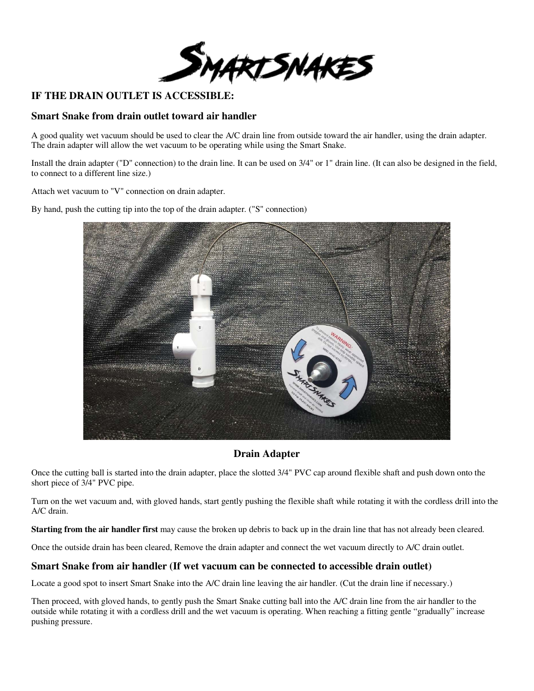

# **IF THE DRAIN OUTLET IS ACCESSIBLE:**

#### **Smart Snake from drain outlet toward air handler**

A good quality wet vacuum should be used to clear the A/C drain line from outside toward the air handler, using the drain adapter. The drain adapter will allow the wet vacuum to be operating while using the Smart Snake.

Install the drain adapter ("D" connection) to the drain line. It can be used on 3/4" or 1" drain line. (It can also be designed in the field, to connect to a different line size.)

Attach wet vacuum to "V" connection on drain adapter.

By hand, push the cutting tip into the top of the drain adapter. ("S" connection)



# **Drain Adapter**

Once the cutting ball is started into the drain adapter, place the slotted 3/4" PVC cap around flexible shaft and push down onto the short piece of 3/4" PVC pipe.

Turn on the wet vacuum and, with gloved hands, start gently pushing the flexible shaft while rotating it with the cordless drill into the A/C drain.

**Starting from the air handler first** may cause the broken up debris to back up in the drain line that has not already been cleared.

Once the outside drain has been cleared, Remove the drain adapter and connect the wet vacuum directly to A/C drain outlet.

## **Smart Snake from air handler (If wet vacuum can be connected to accessible drain outlet)**

Locate a good spot to insert Smart Snake into the A/C drain line leaving the air handler. (Cut the drain line if necessary.)

Then proceed, with gloved hands, to gently push the Smart Snake cutting ball into the A/C drain line from the air handler to the outside while rotating it with a cordless drill and the wet vacuum is operating. When reaching a fitting gentle "gradually" increase pushing pressure.